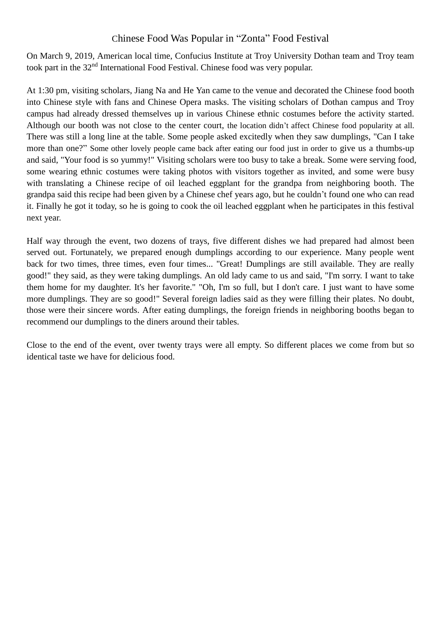## Chinese Food Was Popular in "Zonta" Food Festival

On March 9, 2019, American local time, Confucius Institute at Troy University Dothan team and Troy team took part in the 32nd International Food Festival. Chinese food was very popular.

At 1:30 pm, visiting scholars, Jiang Na and He Yan came to the venue and decorated the Chinese food booth into Chinese style with fans and Chinese Opera masks. The visiting scholars of Dothan campus and Troy campus had already dressed themselves up in various Chinese ethnic costumes before the activity started. Although our booth was not close to the center court, the location didn't affect Chinese food popularity at all. There was still a long line at the table. Some people asked excitedly when they saw dumplings, "Can I take more than one?" Some other lovely people came back after eating our food just in order to give us a thumbs-up and said, "Your food is so yummy!" Visiting scholars were too busy to take a break. Some were serving food, some wearing ethnic costumes were taking photos with visitors together as invited, and some were busy with translating a Chinese recipe of oil leached eggplant for the grandpa from neighboring booth. The grandpa said this recipe had been given by a Chinese chef years ago, but he couldn't found one who can read it. Finally he got it today, so he is going to cook the oil leached eggplant when he participates in this festival next year.

Half way through the event, two dozens of trays, five different dishes we had prepared had almost been served out. Fortunately, we prepared enough dumplings according to our experience. Many people went back for two times, three times, even four times... "Great! Dumplings are still available. They are really good!" they said, as they were taking dumplings. An old lady came to us and said, "I'm sorry. I want to take them home for my daughter. It's her favorite." "Oh, I'm so full, but I don't care. I just want to have some more dumplings. They are so good!" Several foreign ladies said as they were filling their plates. No doubt, those were their sincere words. After eating dumplings, the foreign friends in neighboring booths began to recommend our dumplings to the diners around their tables.

Close to the end of the event, over twenty trays were all empty. So different places we come from but so identical taste we have for delicious food.